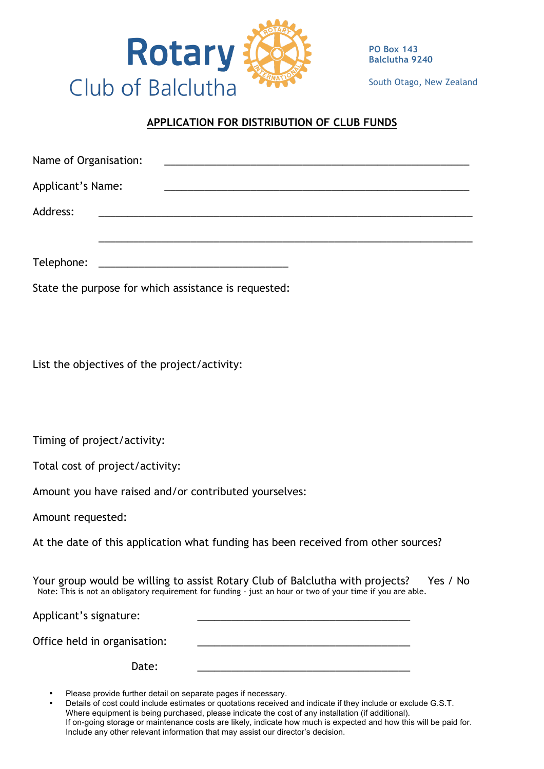

**PO Box 143 Balclutha 9240**

South Otago, New Zealand

# **APPLICATION FOR DISTRIBUTION OF CLUB FUNDS**

| Name of Organisation: |  |  |  |
|-----------------------|--|--|--|
| Applicant's Name:     |  |  |  |
| Address:              |  |  |  |
|                       |  |  |  |
| Telephone:            |  |  |  |

State the purpose for which assistance is requested:

List the objectives of the project/activity:

Timing of project/activity:

Total cost of project/activity:

Amount you have raised and/or contributed yourselves:

Amount requested:

At the date of this application what funding has been received from other sources?

Your group would be willing to assist Rotary Club of Balclutha with projects? Yes / No<br>Note: This is not an obligatory requirement for funding - just an hour or two of your time if you are able.

Applicant's signature:

Office held in organisation:

Date: \_\_\_\_\_\_\_\_\_\_\_\_\_\_\_\_\_\_\_\_\_\_\_\_\_\_\_\_\_\_\_\_\_\_\_\_\_

Please provide further detail on separate pages if necessary.

<sup>•</sup> Details of cost could include estimates or quotations received and indicate if they include or exclude G.S.T. Where equipment is being purchased, please indicate the cost of any installation (if additional). If on-going storage or maintenance costs are likely, indicate how much is expected and how this will be paid for. Include any other relevant information that may assist our director's decision.